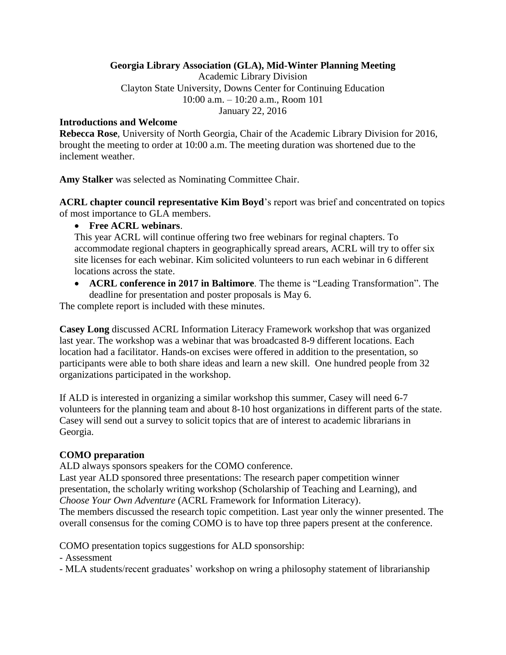## **Georgia Library Association (GLA), Mid-Winter Planning Meeting**

Academic Library Division Clayton State University, Downs Center for Continuing Education 10:00 a.m. – 10:20 a.m., Room 101 January 22, 2016

### **Introductions and Welcome**

**Rebecca Rose**, University of North Georgia, Chair of the Academic Library Division for 2016, brought the meeting to order at 10:00 a.m. The meeting duration was shortened due to the inclement weather.

**Amy Stalker** was selected as Nominating Committee Chair.

**ACRL chapter council representative Kim Boyd**'s report was brief and concentrated on topics of most importance to GLA members.

**Free ACRL webinars**.

This year ACRL will continue offering two free webinars for reginal chapters. To accommodate regional chapters in geographically spread arears, ACRL will try to offer six site licenses for each webinar. Kim solicited volunteers to run each webinar in 6 different locations across the state.

 **ACRL conference in 2017 in Baltimore**. The theme is "Leading Transformation". The deadline for presentation and poster proposals is May 6.

The complete report is included with these minutes.

**Casey Long** discussed ACRL Information Literacy Framework workshop that was organized last year. The workshop was a webinar that was broadcasted 8-9 different locations. Each location had a facilitator. Hands-on excises were offered in addition to the presentation, so participants were able to both share ideas and learn a new skill. One hundred people from 32 organizations participated in the workshop.

If ALD is interested in organizing a similar workshop this summer, Casey will need 6-7 volunteers for the planning team and about 8-10 host organizations in different parts of the state. Casey will send out a survey to solicit topics that are of interest to academic librarians in Georgia.

# **COMO preparation**

ALD always sponsors speakers for the COMO conference.

Last year ALD sponsored three presentations: The research paper competition winner presentation, the scholarly writing workshop (Scholarship of Teaching and Learning), and *Choose Your Own Adventure* (ACRL Framework for Information Literacy).

The members discussed the research topic competition. Last year only the winner presented. The overall consensus for the coming COMO is to have top three papers present at the conference.

COMO presentation topics suggestions for ALD sponsorship:

- Assessment

- MLA students/recent graduates' workshop on wring a philosophy statement of librarianship